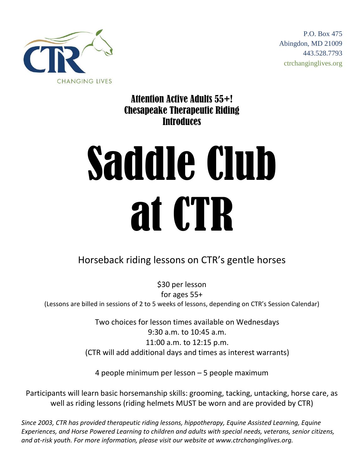

P.O. Box 475 Abingdon, MD 21009 443.528.7793 ctrchanginglives.org

Attention Active Adults 55+! Chesapeake Therapeutic Riding **Introduces** 

## Saddle Club at CTR

## Horseback riding lessons on CTR's gentle horses

\$30 per lesson for ages 55+ (Lessons are billed in sessions of 2 to 5 weeks of lessons, depending on CTR's Session Calendar)

> Two choices for lesson times available on Wednesdays 9:30 a.m. to 10:45 a.m. 11:00 a.m. to 12:15 p.m. (CTR will add additional days and times as interest warrants)

4 people minimum per lesson – 5 people maximum

Participants will learn basic horsemanship skills: grooming, tacking, untacking, horse care, as well as riding lessons (riding helmets MUST be worn and are provided by CTR)

*Since 2003, CTR has provided therapeutic riding lessons, hippotherapy, Equine Assisted Learning, Equine Experiences, and Horse Powered Learning to children and adults with special needs, veterans, senior citizens, and at-risk youth. For more information, please visit our website at www.ctrchanginglives.org.*